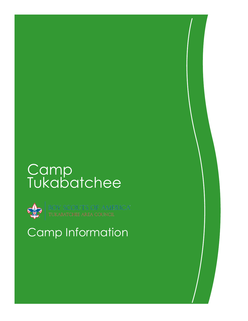# **Camp** Tukabatchee



BOY SCOUTS OF AMERICA"<br>tukabatchee area council

## Camp Information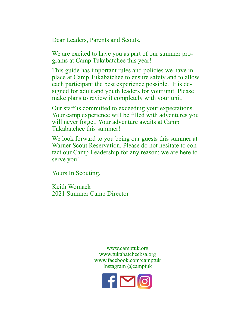Dear Leaders, Parents and Scouts,

We are excited to have you as part of our summer programs at Camp Tukabatchee this year!

This guide has important rules and policies we have in place at Camp Tukabatchee to ensure safety and to allow each participant the best experience possible. It is designed for adult and youth leaders for your unit. Please make plans to review it completely with your unit.

Our staff is committed to exceeding your expectations. Your camp experience will be filled with adventures you will never forget. Your adventure awaits at Camp Tukabatchee this summer!

We look forward to you being our guests this summer at Warner Scout Reservation. Please do not hesitate to contact our Camp Leadership for any reason; we are here to serve you!

Yours In Scouting,

Keith Womack 2021 Summer Camp Director

> www.camptuk.org www.tukabatcheebsa.org www.facebook.com/camptuk Instagram @camptuk

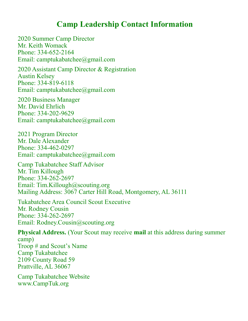### **Camp Leadership Contact Information**

2020 Summer Camp Director Mr. Keith Womack Phone: 334-652-2164 Email: camptukabatchee@gmail.com

2020 Assistant Camp Director & Registration Austin Kelsey Phone: 334-819-6118 Email: camptukabatchee@gmail.com

2020 Business Manager Mr. David Ehrlich Phone: 334-202-9629 Email: camptukabatchee@gmail.com

2021 Program Director Mr. Dale Alexander Phone: 334-462-0297 Email: camptukabatchee@gmail.com

Camp Tukabatchee Staff Advisor Mr. Tim Killough Phone: 334-262-2697 Email: Tim.Killough@scouting.org Mailing Address: 3067 Carter Hill Road, Montgomery, AL 36111

Tukabatchee Area Council Scout Executive Mr. Rodney Cousin Phone: 334-262-2697 Email: Rodney.Cousin@scouting.org

**Physical Address.** (Your Scout may receive **mail** at this address during summer camp) Troop # and Scout's Name Camp Tukabatchee 2109 County Road 59 Prattville, AL 36067

Camp Tukabatchee Website www.CampTuk.org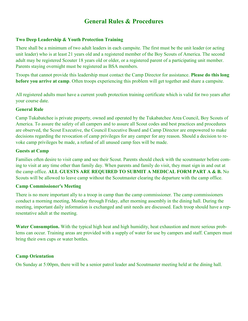### **General Rules & Procedures**

#### **Two Deep Leadership & Youth Protection Training**

There shall be a minimum of two adult leaders in each campsite. The first must be the unit leader (or acting unit leader) who is at least 21 years old and a registered member of the Boy Scouts of America. The second adult may be registered Scouter 18 years old or older, or a registered parent of a participating unit member. Parents staying overnight must be registered as BSA members.

Troops that cannot provide this leadership must contact the Camp Director for assistance. **Please do this long before you arrive at camp**. Often troops experiencing this problem will get together and share a campsite.

All registered adults must have a current youth protection training certificate which is valid for two years after your course date.

#### **General Rule**

Camp Tukabatchee is private property, owned and operated by the Tukabatchee Area Council, Boy Scouts of America. To assure the safety of all campers and to assure all Scout codes and best practices and procedures are observed, the Scout Executive, the Council Executive Board and Camp Director are empowered to make decisions regarding the revocation of camp privileges for any camper for any reason. Should a decision to revoke camp privileges be made, a refund of all unused camp fees will be made.

#### **Guests at Camp**

Families often desire to visit camp and see their Scout. Parents should check with the scoutmaster before coming to visit at any time other than family day. When parents and family do visit, they must sign in and out at the camp office. **ALL GUESTS ARE REQUIRED TO SUBMIT A MEDICAL FORM PART A & B.** No Scouts will be allowed to leave camp without the Scoutmaster clearing the departure with the camp office.

#### **Camp Commissioner's Meeting**

There is no more important ally to a troop in camp than the camp commissioner. The camp commissioners conduct a morning meeting, Monday through Friday, after morning assembly in the dining hall. During the meeting, important daily information is exchanged and unit needs are discussed. Each troop should have a representative adult at the meeting.

**Water Consumption.** With the typical high heat and high humidity, heat exhaustion and more serious problems can occur. Training areas are provided with a supply of water for use by campers and staff. Campers must bring their own cups or water bottles.

#### **Camp Orientation**

On Sunday at 5:00pm, there will be a senior patrol leader and Scoutmaster meeting held at the dining hall.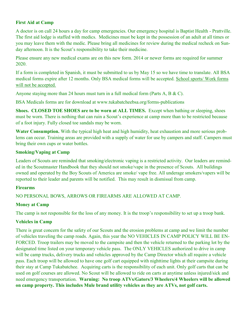#### **First Aid at Camp**

A doctor is on call 24 hours a day for camp emergencies. Our emergency hospital is Baptist Health - Prattville. The first aid lodge is staffed with medics. Medicines must be kept in the possession of an adult at all times or you may leave them with the medic. Please bring all medicines for review during the medical recheck on Sunday afternoon. It is the Scout's responsibility to take their medicine.

Please ensure any new medical exams are on this new form. 2014 or newer forms are required for summer 2020.

If a form is completed in Spanish, it must be submitted to us by May 15 so we have time to translate. All BSA medical forms expire after 12 months. Only BSA medical forms will be accepted. School sports/ Work forms will not be accepted.

Anyone staying more than 24 hours must turn in a full medical form (Parts A, B & C).

BSA Medicals forms are for download at www.tukabatcheebsa.org/forms-publications

**Shoes. CLOSED TOE SHOES are to be worn at ALL TIMES.** Except when bathing or sleeping, shoes must be worn. There is nothing that can ruin a Scout's experience at camp more than to be restricted because of a foot injury. Fully closed toe sandals may be worn.

**Water Consumption.** With the typical high heat and high humidity, heat exhaustion and more serious problems can occur. Training areas are provided with a supply of water for use by campers and staff. Campers must bring their own cups or water bottles.

#### **Smoking/Vaping at Camp**

Leaders of Scouts are reminded that smoking/electronic vaping is a restricted activity. Our leaders are reminded in the Scoutmaster Handbook that they should not smoke/vape in the presence of Scouts. All buildings owned and operated by the Boy Scouts of America are smoke/ vape free. All underage smokers/vapers will be reported to their leader and parents will be notified. This may result in dismissal from camp.

#### **Firearms**

NO PERSONAL BOWS, ARROWS OR FIREARMS ARE ALLOWED AT CAMP.

#### **Money at Camp**

The camp is not responsible for the loss of any money. It is the troop's responsibility to set up a troop bank.

#### **Vehicles in Camp**

There is great concern for the safety of our Scouts and the erosion problems at camp and we limit the number of vehicles traveling the camp roads. Again, this year the NO VEHICLES IN CAMP POLICY WILL BE EN-FORCED. Troop trailers may be moved to the campsite and then the vehicle returned to the parking lot by the designated time listed on your temporary vehicle pass. The ONLY VEHICLES authorized to drive in camp will be camp trucks, delivery trucks and vehicles approved by the Camp Director which all require a vehicle pass. Each troop will be allowed to have one golf cart equipped with nighttime lights at their campsite during their stay at Camp Tukabatchee. Acquiring carts is the responsibility of each unit. Only golf carts that can be used on golf courses are allowed. No Scout will be allowed to ride on carts at anytime unless injured/sick and need emergency transportation. **Warning: No troop ATVs/Gators/3 Wheelers/4 Wheelers will be allowed on camp property. This includes Mule brand utility vehicles as they are ATVs, not golf carts.**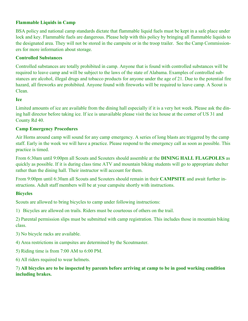#### **Flammable Liquids in Camp**

BSA policy and national camp standards dictate that flammable liquid fuels must be kept in a safe place under lock and key. Flammable fuels are dangerous. Please help with this policy by bringing all flammable liquids to the designated area. They will not be stored in the campsite or in the troop trailer. See the Camp Commissioners for more information about storage.

#### **Controlled Substances**

Controlled substances are totally prohibited in camp. Anyone that is found with controlled substances will be required to leave camp and will be subject to the laws of the state of Alabama. Examples of controlled substances are alcohol, illegal drugs and tobacco products for anyone under the age of 21. Due to the potential fire hazard, all fireworks are prohibited. Anyone found with fireworks will be required to leave camp. A Scout is Clean.

#### **Ice**

Limited amounts of ice are available from the dining hall especially if it is a very hot week. Please ask the dining hall director before taking ice. If ice is unavailable please visit the ice house at the corner of US 31 and County Rd 40.

#### **Camp Emergency Procedures**

Air Horns around camp will sound for any camp emergency. A series of long blasts are triggered by the camp staff. Early in the week we will have a practice. Please respond to the emergency call as soon as possible. This practice is timed.

From 6:30am until 9:00pm all Scouts and Scouters should assemble at the **DINING HALL FLAGPOLES** as quickly as possible. If it is during class time ATV and mountain biking students will go to appropriate shelter rather than the dining hall. Their instructor will account for them.

From 9:00pm until 6:30am all Scouts and Scouters should remain in their **CAMPSITE** and await further instructions. Adult staff members will be at your campsite shortly with instructions.

#### **Bicycles**

Scouts are allowed to bring bicycles to camp under following instructions:

1) Bicycles are allowed on trails. Riders must be courteous of others on the trail.

2) Parental permission slips must be submitted with camp registration. This includes those in mountain biking class.

3) No bicycle racks are available.

4) Area restrictions in campsites are determined by the Scoutmaster.

5) Riding time is from 7:00 AM to 6:00 PM.

6) All riders required to wear helmets.

#### 7) **All bicycles are to be inspected by parents before arriving at camp to be in good working condition including brakes.**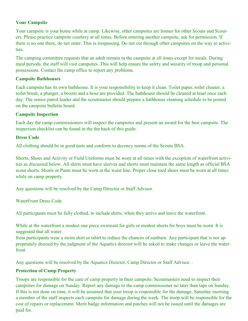#### **Your Campsite**

Your campsite is your home while at camp. Likewise, other campsites are homes for other Scouts and Scouters. Please practice campsite courtesy at all times. Before entering another campsite, ask for permission. If there is no one there, do not enter. This is trespassing. Do not cut through other campsites on the way to activities.

The camping committee requests that an adult remain in the campsite at all times except for meals. During meal periods, the staff will visit campsites. This will help ensure the safety and security of troop and personal possessions. Contact the camp office to report any problems.

#### **Campsite Bathhouses**

Each campsite has its own bathhouse. It is your responsibility to keep it clean. Toilet paper, toilet cleaner, a toilet brush, a plunger, a broom and a hose are provided. The bathhouse should be cleaned at least once each day. The senior patrol leader and the scoutmaster should prepare a bathhouse cleaning schedule to be posted on the campsite bulletin board.

#### **Campsite Inspection**

Each day the camp commissioners will inspect the campsites and present an award for the best campsite. The inspection checklist can be found in the the back of this guide.

#### **Dress Code**

All clothing should be in good taste and conform to decency norms of the Scouts BSA.

Shorts, Shoes and Activity or Field Uniforms must be worn at all times with the exception of waterfront activities as discussed below. All shirts must have sleeves and shorts must maintain the same length as official BSA scout shorts. Shorts or Pants must be worn at the waist line. Proper close toed shoes must be worn at all times while on camp property.

Any questions will be resolved by the Camp Director or Staff Advisor.

WaterFront Dress Code

All participants must be fully clothed, to include shirts, when they arrive and leave the waterfront.

While at the waterfront a modest one piece swimsuit for girls or modest shorts for boys must be worn. It is suggested that all water

front participants wear a swim shirt or tshirt to reduce the chances of sunburn. Any participant that is not appropriately dressed by the judgment of the Aquatics director will be asked to make changes or leave the waterfront.

Any questions will be resolved by the Aquatics Director, Camp Director or Staff Advisor. .

#### **Protection of Camp Property**

Troops are responsible for the care of camp property in their campsite. Scoutmasters need to inspect their campsites for damage on Sunday. Report any damage to the camp commissioner no later than taps on Sunday. If this is not done on time, it will be assumed that your troop is responsible for the damage. Saturday morning a member of the staff inspects each campsite for damage during the week. The troop will be responsible for the cost of repairs or replacement. Merit badge information and patches will not be issued until the damages are paid for.